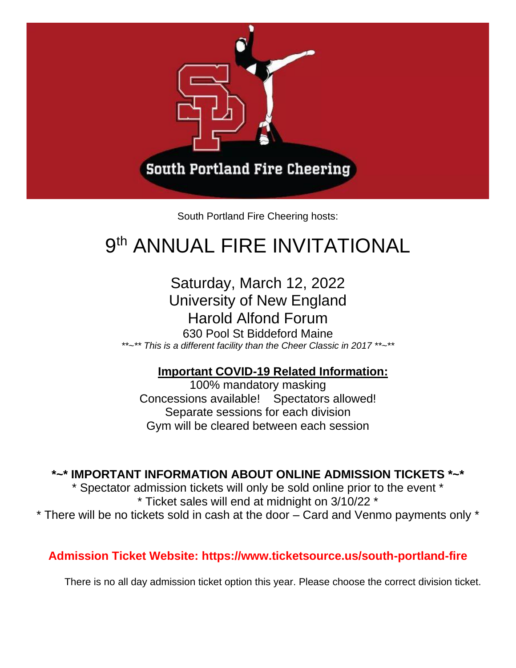

South Portland Fire Cheering hosts:

# 9<sup>th</sup> ANNUAL FIRE INVITATIONAL

### Saturday, March 12, 2022 University of New England Harold Alfond Forum

630 Pool St Biddeford Maine *\*\*~\*\* This is a different facility than the Cheer Classic in 2017 \*\*~\*\**

#### **Important COVID-19 Related Information:**

100% mandatory masking Concessions available! Spectators allowed! Separate sessions for each division Gym will be cleared between each session

**\*~\* IMPORTANT INFORMATION ABOUT ONLINE ADMISSION TICKETS \*~\***

\* Spectator admission tickets will only be sold online prior to the event \* \* Ticket sales will end at midnight on 3/10/22 \* \* There will be no tickets sold in cash at the door – Card and Venmo payments only \*

**Admission Ticket Website: https://www.ticketsource.us/south-portland-fire**

There is no all day admission ticket option this year. Please choose the correct division ticket.